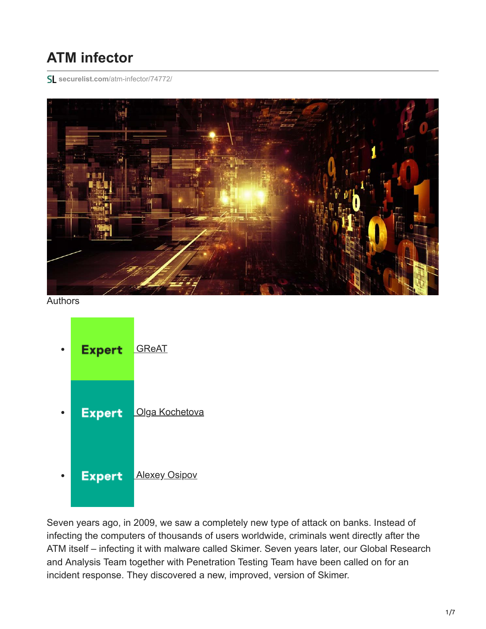# **ATM infector**

**securelist.com**[/atm-infector/74772/](https://securelist.com/atm-infector/74772/)



Authors



Seven years ago, in 2009, we saw a completely new type of attack on banks. Instead of infecting the computers of thousands of users worldwide, criminals went directly after the ATM itself – infecting it with malware called Skimer. Seven years later, our Global Research and Analysis Team together with Penetration Testing Team have been called on for an incident response. They discovered a new, improved, version of Skimer.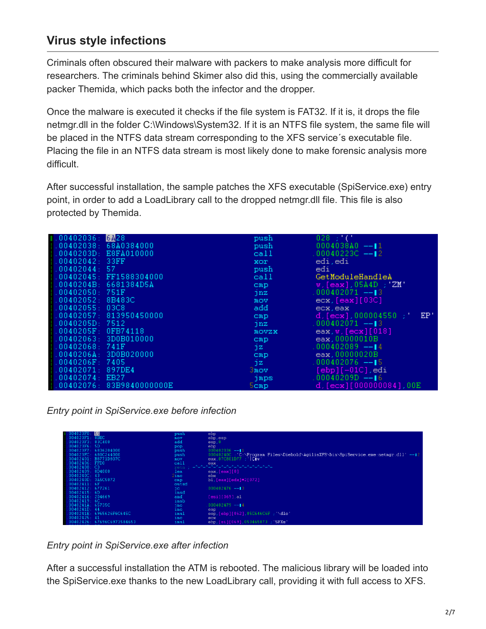# **Virus style infections**

Criminals often obscured their malware with packers to make analysis more difficult for researchers. The criminals behind Skimer also did this, using the commercially available packer Themida, which packs both the infector and the dropper.

Once the malware is executed it checks if the file system is FAT32. If it is, it drops the file netmgr.dll in the folder C:\Windows\System32. If it is an NTFS file system, the same file will be placed in the NTFS data stream corresponding to the XFS service´s executable file. Placing the file in an NTFS data stream is most likely done to make forensic analysis more difficult.

After successful installation, the sample patches the XFS executable (SpiService.exe) entry point, in order to add a LoadLibrary call to the dropped netmgr.dll file. This file is also protected by Themida.

| 1.00402036: 6428                              | push             | $028$ ; $^{\prime}$ ( $^{\prime}$                       |
|-----------------------------------------------|------------------|---------------------------------------------------------|
| $\parallel$ .00402038: 68A0384000             | push             | $0004038A0 - 11$                                        |
| $\parallel$ .0040203D: E8FA010000             | call             | .00040223C $--12$                                       |
| $\pm .00402042 \pm .33 \text{FF}$             | xor              | edi.edi                                                 |
| $\parallel$ .00402044:57                      | push             | edi                                                     |
| $\frac{1}{2}$ .00402045: FF1588304000         | call a           | GetModuleHandleA                                        |
| 1.0040204B: 6681384D5A                        | $_{\text{cmp}}$  | $w$ , [eax], 05A4D $\pm$ 'ZM'                           |
| $+00402050:751F$                              | jnz              | $.000402071 - 13$                                       |
| $\parallel$ .00402052: 8B483C                 | mov              | ecx, [eax][03C]                                         |
| $\pm .00402055: 03C8$                         | add              | ecx, eax                                                |
| $\frac{1}{2}$ .00402057: 813950450000         | $_{\text{cmp}}$  | $\rm d$ , [ecx] , 000004550 $\,$ ; $^{\prime}$ .<br>EP' |
| $\frac{1}{2}$ .0040205D: 7512                 | jnz              | .000402071 ——∎3                                         |
| $\frac{1}{2}$ .0040205F: 0FB74118             | MOVZX            | eax,w,[ecx][018]                                        |
| $\,.\,00402063: \,\,3\text{D}0\text{B}010000$ | $_{\text{cmp}}$  | eax.00000010B                                           |
| $\pm .00402068 \pm 741 \mathrm{F}$            | jz               | $.000402089 - 14$                                       |
| $\frac{1}{2}$ .0040206A: 3D0B020000           | $_{\text{cmp}}$  | ear 00000020B                                           |
| $\frac{1}{2}$ .0040206F: 7405                 | jz -             | $.000402076$ --15                                       |
| .00402071:897DE4                              | 3mov -           | $[ebp] [-01C]$ , edi                                    |
| 0.00402074<br>EB <sub>27</sub>                | jmps.            | .00040209D ——∥6                                         |
| $\pm 00402076 \pm 83B9840000000E$             | 5 <sub>cmp</sub> | $d$ , [ecx][000000084], 00E                             |

*Entry point in SpiService.exe before infection*

| 23F0:                | 55                       | push            | ebp.                                                                              |
|----------------------|--------------------------|-----------------|-----------------------------------------------------------------------------------|
| .004023F1: BEC       |                          | <b>BOV</b>      | ebp, esp                                                                          |
| .004023F3:83C400     |                          | add             | $\exp 0$                                                                          |
| 004023F6:5D          |                          | pop             | ebp.                                                                              |
|                      | 004023F7: 6836204000.    | push            | $000402036 - 11$                                                                  |
|                      | 004023FC: 680C244000     | push            | 00040240C 'C \Program Files\Diebold\AgilisXFS\bin\SpiService.exe:netmgr.dll' --12 |
|                      | 00402401: B8771D807C     | <b>ROV</b>      | eax.07C801D77 : 'CIv'                                                             |
| 00402406: FFD0       |                          | call            | eax                                                                               |
| .00402408: C3        |                          | retn :          | * * * * * * * * * * * * * * *                                                     |
| .00402409: 8D4000    |                          | lea             | $\texttt{eax}$ , $\texttt{[eax]}[0]$                                              |
| .0040240C: 43        |                          | 2ine            | ebx                                                                               |
| 0040240D: 3A5C5072   |                          | $_{\text{cmp}}$ | bl.[eax][edx]*2[072]                                                              |
| $.00402411 \cdot 6F$ |                          | outsd           |                                                                                   |
| .00402412: 677261    |                          | jc.             | $.000402476 - 3$                                                                  |
| .00402415:6D         |                          | insd            |                                                                                   |
| .00402416:204669     |                          | and             | $[esi][069]$ , al                                                                 |
| .00402419:6C         |                          | insb            |                                                                                   |
| .0040241A: 65735C    |                          | jnc             | .000402479 ——∎4                                                                   |
| .0040241D.           |                          | inc.            | esp.                                                                              |
|                      | 0040241E: 6965626F6C645C | imul            | esp.[ebp][062].05C646C6F; \dlo'                                                   |
| .00402425:41         |                          | inc             | ecx                                                                               |
|                      | 2426: 67696C6973584653   | imul            | ebp.[si][069].053465873 ; SFXs'                                                   |

*Entry point in SpiService.exe after infection*

After a successful installation the ATM is rebooted. The malicious library will be loaded into the SpiService.exe thanks to the new LoadLibrary call, providing it with full access to XFS.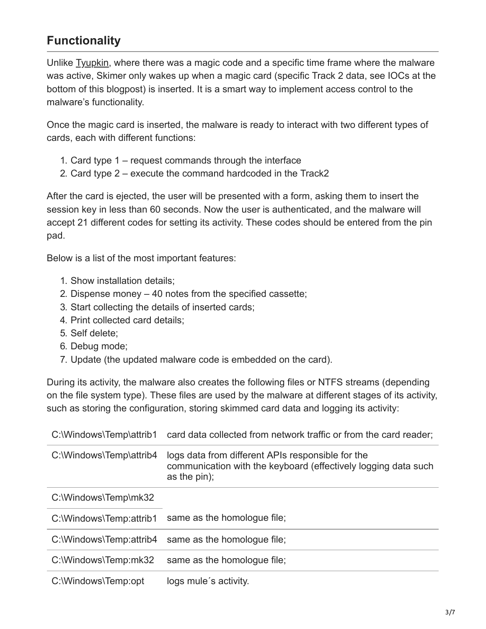# **Functionality**

Unlike [Tyupkin](https://securelist.com/tyupkin-manipulating-atm-machines-with-malware/66988/), where there was a magic code and a specific time frame where the malware was active, Skimer only wakes up when a magic card (specific Track 2 data, see IOCs at the bottom of this blogpost) is inserted. It is a smart way to implement access control to the malware's functionality.

Once the magic card is inserted, the malware is ready to interact with two different types of cards, each with different functions:

- 1. Card type 1 request commands through the interface
- 2. Card type 2 execute the command hardcoded in the Track2

After the card is ejected, the user will be presented with a form, asking them to insert the session key in less than 60 seconds. Now the user is authenticated, and the malware will accept 21 different codes for setting its activity. These codes should be entered from the pin pad.

Below is a list of the most important features:

- 1. Show installation details;
- 2. Dispense money 40 notes from the specified cassette;
- 3. Start collecting the details of inserted cards;
- 4. Print collected card details;
- 5. Self delete;
- 6. Debug mode;
- 7. Update (the updated malware code is embedded on the card).

During its activity, the malware also creates the following files or NTFS streams (depending on the file system type). These files are used by the malware at different stages of its activity, such as storing the configuration, storing skimmed card data and logging its activity:

| C:\Windows\Temp\attrib1 | card data collected from network traffic or from the card reader;                                                                      |
|-------------------------|----------------------------------------------------------------------------------------------------------------------------------------|
| C:\Windows\Temp\attrib4 | logs data from different APIs responsible for the<br>communication with the keyboard (effectively logging data such<br>as the $pin)$ ; |
| C:\Windows\Temp\mk32    |                                                                                                                                        |
| C:\Windows\Temp:attrib1 | same as the homologue file;                                                                                                            |
| C:\Windows\Temp:attrib4 | same as the homologue file;                                                                                                            |
| C:\Windows\Temp:mk32    | same as the homologue file;                                                                                                            |
| C:\Windows\Temp:opt     | logs mule's activity.                                                                                                                  |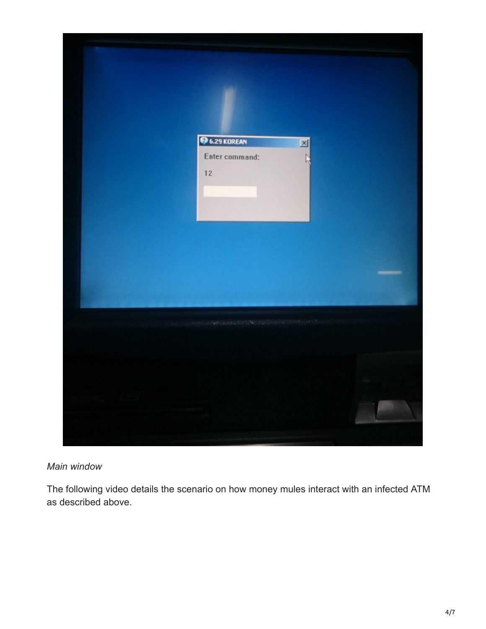

#### *Main window*

The following video details the scenario on how money mules interact with an infected ATM as described above.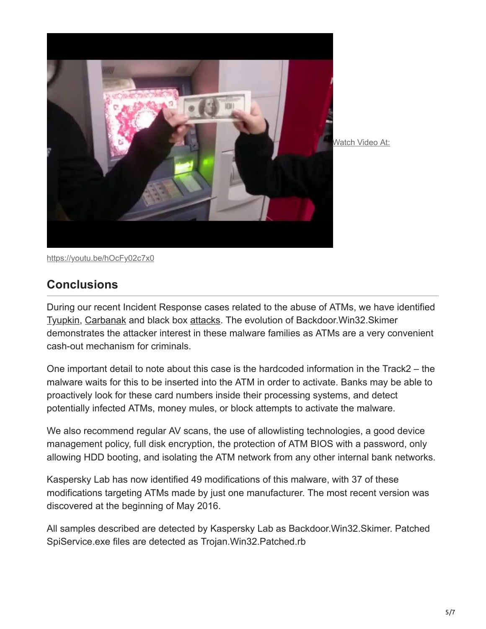

<https://youtu.be/hOcFy02c7x0>

### **Conclusions**

During our recent Incident Response cases related to the abuse of ATMs, we have identified [Tyupkin](https://securelist.com/tyupkin-manipulating-atm-machines-with-malware/66988/), [Carbanak](https://securelist.com/the-great-bank-robbery-the-carbanak-apt/68732/) and black box [attacks.](https://www.youtube.com/watch?v=ksEmXuV324I) The evolution of Backdoor.Win32.Skimer demonstrates the attacker interest in these malware families as ATMs are a very convenient cash-out mechanism for criminals.

One important detail to note about this case is the hardcoded information in the Track2 – the malware waits for this to be inserted into the ATM in order to activate. Banks may be able to proactively look for these card numbers inside their processing systems, and detect potentially infected ATMs, money mules, or block attempts to activate the malware.

We also recommend regular AV scans, the use of allowlisting technologies, a good device management policy, full disk encryption, the protection of ATM BIOS with a password, only allowing HDD booting, and isolating the ATM network from any other internal bank networks.

Kaspersky Lab has now identified 49 modifications of this malware, with 37 of these modifications targeting ATMs made by just one manufacturer. The most recent version was discovered at the beginning of May 2016.

All samples described are detected by Kaspersky Lab as Backdoor.Win32.Skimer. Patched SpiService.exe files are detected as Trojan.Win32.Patched.rb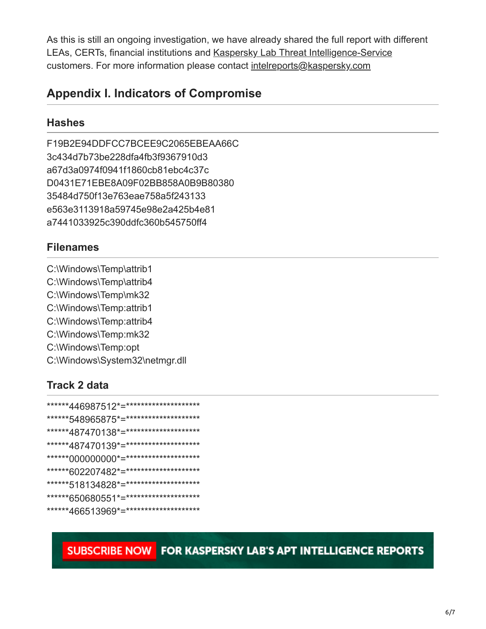As this is still an ongoing investigation, we have already shared the full report with different LEAs, CERTs, financial institutions and [Kaspersky Lab Threat Intelligence-Service](http://www.kaspersky.com/enterprise-security/intelligence-services) customers. For more information please contact [intelreports@kaspersky.com](http://10.10.0.46/mailto:intelreports@kaspersky.com)

## **Appendix I. Indicators of Compromise**

#### **Hashes**

F19B2E94DDFCC7BCEE9C2065EBEAA66C 3c434d7b73be228dfa4fb3f9367910d3 a67d3a0974f0941f1860cb81ebc4c37c D0431E71EBE8A09F02BB858A0B9B80380 35484d750f13e763eae758a5f243133 e563e3113918a59745e98e2a425b4e81 a7441033925c390ddfc360b545750ff4

#### **Filenames**

C:\Windows\Temp\attrib1 C:\Windows\Temp\attrib4 C:\Windows\Temp\mk32 C:\Windows\Temp:attrib1 C:\Windows\Temp:attrib4 C:\Windows\Temp:mk32 C:\Windows\Temp:opt C:\Windows\System32\netmgr.dll

### **Track 2 data**

| ******446987512*=********************* |
|----------------------------------------|
| ******548965875*=********************* |
| ******487470138*=********************  |
| ******487470139*=********************  |
| ******000000000*=********************  |
| ******602207482*=********************* |
| ******518134828*=********************* |
| ******650680551*=********************* |
| ******466513969*=********************  |

SUBSCRIBE NOW FOR KASPERSKY LAB'S APT INTELLIGENCE REPORTS